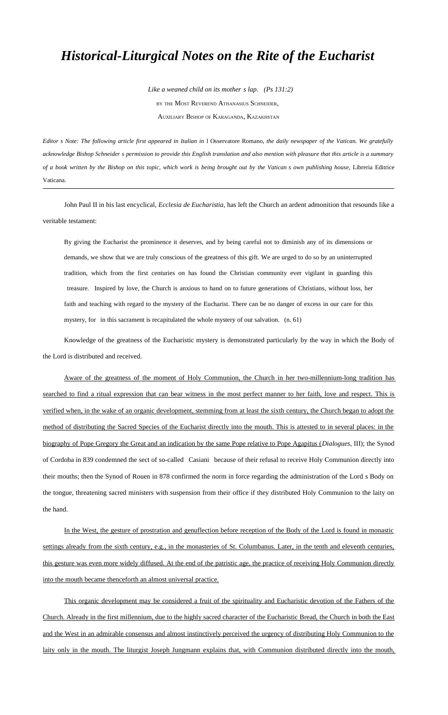## *Historical-Liturgical Notes on the Rite of the Eucharist*

 *Like a weaned child on its mother s lap. (Ps 131:2)* BY THE MOST REVEREND ATHANASIUS SCHNEIDER, AUXILIARY BISHOP OF KARAGANDA, KAZAKHSTAN

*Editor s Note: The following article first appeared in Italian in 1 Osservatore Romano, the daily newspaper of the Vatican. We gratefully acknowledge Bishop Schneider s permission to provide this English translation and also mention with pleasure that this article is a summary of a book written by the Bishop on this topic, which work is being brought out by the Vatican s own publishing house*, Libreria Editrice Vaticana.

John Paul II in his last encyclical, *Ecclesia de Eucharistia,* has left the Church an ardent admonition that resounds like a veritable testament:

By giving the Eucharist the prominence it deserves, and by being careful not to diminish any of its dimensions or demands, we show that we are truly conscious of the greatness of this gift. We are urged to do so by an uninterrupted tradition, which from the first centuries on has found the Christian community ever vigilant in guarding this treasure. Inspired by love, the Church is anxious to hand on to future generations of Christians, without loss, her faith and teaching with regard to the mystery of the Eucharist. There can be no danger of excess in our care for this mystery, for in this sacrament is recapitulated the whole mystery of our salvation. (n. 61)

Knowledge of the greatness of the Eucharistic mystery is demonstrated particularly by the way in which the Body of the Lord is distributed and received.

Aware of the greatness of the moment of Holy Communion, the Church in her two-millennium-long tradition has searched to find a ritual expression that can bear witness in the most perfect manner to her faith, love and respect. This is verified when, in the wake of an organic development, stemming from at least the sixth century, the Church began to adopt the method of distributing the Sacred Species of the Eucharist directly into the mouth. This is attested to in several places: in the biography of Pope Gregory the Great and an indication by the same Pope relative to Pope Agapitus (*Dialogues*, III); the Synod of Cordoba in 839 condemned the sect of so-called Casiani because of their refusal to receive Holy Communion directly into their mouths; then the Synod of Rouen in 878 confirmed the norm in force regarding the administration of the Lord s Body on the tongue, threatening sacred ministers with suspension from their office if they distributed Holy Communion to the laity on the hand.

In the West, the gesture of prostration and genuflection before reception of the Body of the Lord is found in monastic settings already from the sixth century, e.g., in the monasteries of St. Columbanus. Later, in the tenth and eleventh centuries, this gesture was even more widely diffused. At the end of the patristic age, the practice of receiving Holy Communion directly into the mouth became thenceforth an almost universal practice.

This organic development may be considered a fruit of the spirituality and Eucharistic devotion of the Fathers of the Church. Already in the first millennium, due to the highly sacred character of the Eucharistic Bread, the Church in both the East and the West in an admirable consensus and almost instinctively perceived the urgency of distributing Holy Communion to the laity only in the mouth. The liturgist Joseph Jungmann explains that, with Communion distributed directly into the mouth,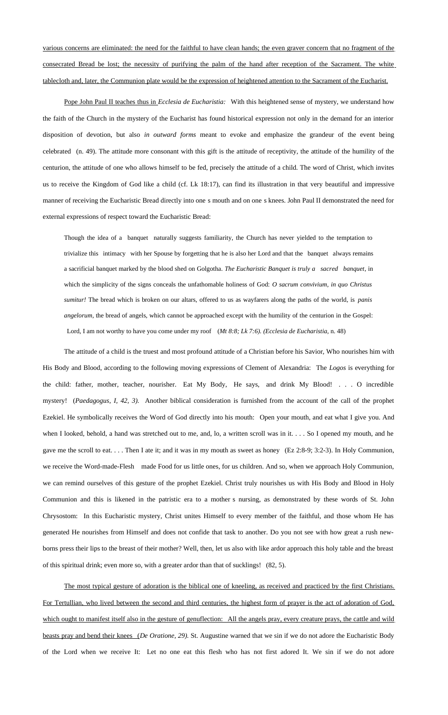various concerns are eliminated: the need for the faithful to have clean hands; the even graver concern that no fragment of the consecrated Bread be lost; the necessity of purifying the palm of the hand after reception of the Sacrament. The white tablecloth and, later, the Communion plate would be the expression of heightened attention to the Sacrament of the Eucharist.

Pope John Paul II teaches thus in *Ecclesia de Eucharistia:* With this heightened sense of mystery, we understand how the faith of the Church in the mystery of the Eucharist has found historical expression not only in the demand for an interior disposition of devotion, but also *in outward forms* meant to evoke and emphasize the grandeur of the event being celebrated (n. 49). The attitude more consonant with this gift is the attitude of receptivity, the attitude of the humility of the centurion, the attitude of one who allows himself to be fed, precisely the attitude of a child. The word of Christ, which invites us to receive the Kingdom of God like a child (cf. Lk 18:17), can find its illustration in that very beautiful and impressive manner of receiving the Eucharistic Bread directly into one s mouth and on one s knees. John Paul II demonstrated the need for external expressions of respect toward the Eucharistic Bread:

Though the idea of a banquet naturally suggests familiarity, the Church has never yielded to the temptation to trivialize this intimacy with her Spouse by forgetting that he is also her Lord and that the banquet always remains a sacrificial banquet marked by the blood shed on Golgotha. The Eucharistic Banquet is truly a sacred banquetin which the simplicity of the signs conceals the unfathomable holiness of God: *O sacrum convivium, in quo Christus sumitur!* The bread which is broken on our altars, offered to us as wayfarers along the paths of the world, is *panis angelorum*, the bread of angels, which cannot be approached except with the humility of the centurion in the Gospel: Lord, I am not worthy to have you come under my roof *Mt 8:8; Lk 7:6). (Ecclesia de Eucharistia*, n. 48)

The attitude of a child is the truest and most profound attitude of a Christian before his Savior, Who nourishes him with His Body and Blood, according to the following moving expressions of Clement of Alexandria: The *Logos* is everything for the child: father, mother, teacher, nourisher. Eat My Body, He says, and drink My Blood! . . . O incredible mystery! *Paedagogus, I, 42, 3).* Another biblical consideration is furnished from the account of the call of the prophet Ezekiel. He symbolically receives the Word of God directly into his mouth: Open your mouth, and eat what I give you. And when I looked, behold, a hand was stretched out to me, and, lo, a written scroll was in it. . . . So I opened my mouth, and he gave me the scroll to eat. . . . Then I ate it; and it was in my mouth as sweet as honey (Ez 2:8-9; 3:2-3). In Holy Communion, we receive the Word-made-Flesh made Food for us little ones, for us children. And so, when we approach Holy Communion, we can remind ourselves of this gesture of the prophet Ezekiel. Christ truly nourishes us with His Body and Blood in Holy Communion and this is likened in the patristic era to a mother s nursing, as demonstrated by these words of St. John Chrysostom: In this Eucharistic mystery, Christ unites Himself to every member of the faithful, and those whom He has generated He nourishes from Himself and does not confide that task to another. Do you not see with how great a rush newborns press their lips to the breast of their mother? Well, then, let us also with like ardor approach this holy table and the breast of this spiritual drink; even more so, with a greater ardor than that of sucklings! (82, 5).

The most typical gesture of adoration is the biblical one of kneeling, as received and practiced by the first Christians. For Tertullian, who lived between the second and third centuries, the highest form of prayer is the act of adoration of God, which ought to manifest itself also in the gesture of genuflection: All the angels pray, every creature prays, the cattle and wild beasts pray and bend their knees (*De Oratione, 29).* St. Augustine warned that we sin if we do not adore the Eucharistic Body of the Lord when we receive It: Let no one eat this flesh who has not first adored It. We sin if we do not adore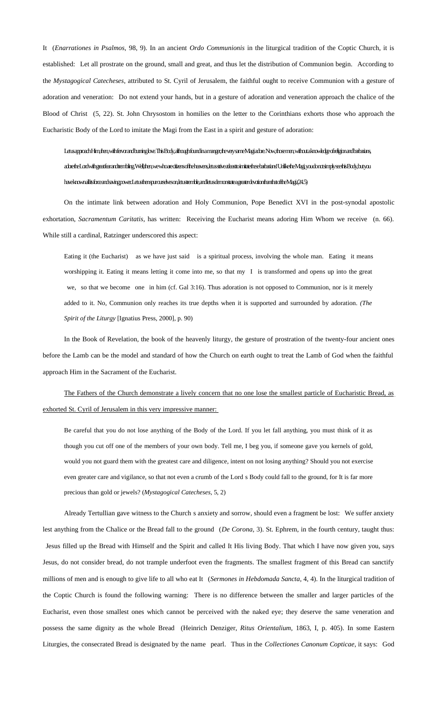It (*Enarrationes in Psalmos,* 98, 9). In an ancient *Ordo Communionis* in the liturgical tradition of the Coptic Church, it is established: Let all prostrate on the ground, small and great, and thus let the distribution of Communion begin. According to the *Mystagogical Catecheses*, attributed to St. Cyril of Jerusalem, the faithful ought to receive Communion with a gesture of adoration and veneration: Do not extend your hands, but in a gesture of adoration and veneration approach the chalice of the Blood of Christ (5, 22). St. John Chrysostom in homilies on the letter to the Corinthians exhorts those who approach the Eucharistic Body of the Lord to imitate the Magi from the East in a spirit and gesture of adoration:

## Let us approach Him, then with fervorand burine bus This Body, although farming and burning religions of religion and barbarians, the very same Maging and barbarians, the very same of religion and barbarians, and in a know adore the Lord with great fear and trembling. Well, then, we who are citizens of the heavens, let us strive at least to imitate these barbarians! Unlike the Magi, you do not simply see this Body, but you have known all its force and saving power. Let us then spur ourselves on, let us tremble, and let us demonstrate a greater devotion than that of the Magi. (24. 5)

On the intimate link between adoration and Holy Communion, Pope Benedict XVI in the post-synodal apostolic exhortation, *Sacramentum Caritatis,* has written: Receiving the Eucharist means adoring Him Whom we receive (n. 66). While still a cardinal, Ratzinger underscored this aspect:

Eating it (the Eucharist) as we have just said is a spiritual process, involving the whole man. Eating it means worshipping it. Eating it means letting it come into me, so that my I is transformed and opens up into the great we, so that we become one in him (cf. Gal 3:16). Thus adoration is not opposed to Communion, nor is it merely added to it. No, Communion only reaches its true depths when it is supported and surrounded by adoration. *(The Spirit of the Liturgy* [Ignatius Press, 2000], p. 90)

In the Book of Revelation, the book of the heavenly liturgy, the gesture of prostration of the twenty-four ancient ones before the Lamb can be the model and standard of how the Church on earth ought to treat the Lamb of God when the faithful approach Him in the Sacrament of the Eucharist.

## The Fathers of the Church demonstrate a lively concern that no one lose the smallest particle of Eucharistic Bread, as exhorted St. Cyril of Jerusalem in this very impressive manner:

Be careful that you do not lose anything of the Body of the Lord. If you let fall anything, you must think of it as though you cut off one of the members of your own body. Tell me, I beg you, if someone gave you kernels of gold, would you not guard them with the greatest care and diligence, intent on not losing anything? Should you not exercise even greater care and vigilance, so that not even a crumb of the Lord s Body could fall to the ground, for It is far more precious than gold or jewels? (*Mystagogical Catecheses,* 5, 2)

Already Tertullian gave witness to the Church s anxiety and sorrow, should even a fragment be lost: We suffer anxiety lest anything from the Chalice or the Bread fall to the ground (*De Corona,* 3). St. Ephrem, in the fourth century, taught thus:

 Jesus filled up the Bread with Himself and the Spirit and called It His living Body. That which I have now given you, says Jesus, do not consider bread, do not trample underfoot even the fragments. The smallest fragment of this Bread can sanctify millions of men and is enough to give life to all who eat It (*Sermones in Hebdomada Sancta,* 4, 4). In the liturgical tradition of the Coptic Church is found the following warning: There is no difference between the smaller and larger particles of the Eucharist, even those smallest ones which cannot be perceived with the naked eye; they deserve the same veneration and possess the same dignity as the whole Bread (Heinrich Denziger, *Ritus Orientalium,* 1863, I, p. 405). In some Eastern Liturgies, the consecrated Bread is designated by the name pearl. Thus in the *Collectiones Canonum Copticae*, it says: God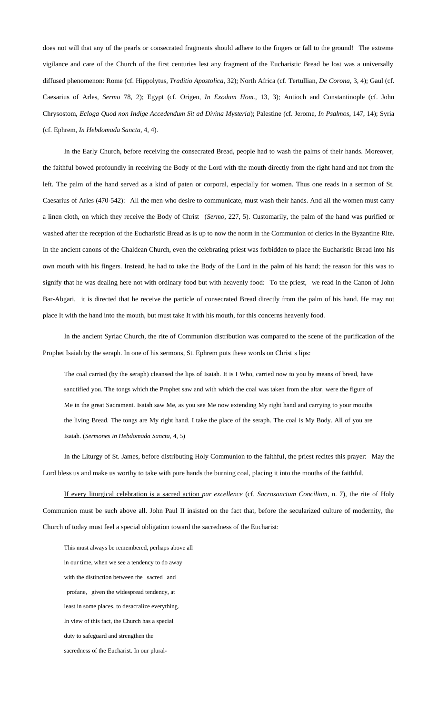does not will that any of the pearls or consecrated fragments should adhere to the fingers or fall to the ground! The extreme vigilance and care of the Church of the first centuries lest any fragment of the Eucharistic Bread be lost was a universally diffused phenomenon: Rome (cf. Hippolytus, *Traditio Apostolica,* 32); North Africa (cf. Tertullian, *De Corona,* 3, 4); Gaul (cf. Caesarius of Arles, *Sermo* 78, 2); Egypt (cf. Origen, *In Exodum Hom.,* 13, 3); Antioch and Constantinople (cf. John Chrysostom, *Ecloga Quod non Indige Accedendum Sit ad Divina Mysteria*); Palestine (cf. Jerome, *In Psalmos,* 147, 14); Syria (cf. Ephrem, *In Hebdomada Sancta,* 4, 4).

In the Early Church, before receiving the consecrated Bread, people had to wash the palms of their hands. Moreover, the faithful bowed profoundly in receiving the Body of the Lord with the mouth directly from the right hand and not from the left. The palm of the hand served as a kind of paten or corporal, especially for women. Thus one reads in a sermon of St. Caesarius of Arles (470-542): All the men who desire to communicate, must wash their hands. And all the women must carry a linen cloth, on which they receive the Body of Christ (*Sermo,* 227, 5). Customarily, the palm of the hand was purified or washed after the reception of the Eucharistic Bread as is up to now the norm in the Communion of clerics in the Byzantine Rite. In the ancient canons of the Chaldean Church, even the celebrating priest was forbidden to place the Eucharistic Bread into his own mouth with his fingers. Instead, he had to take the Body of the Lord in the palm of his hand; the reason for this was to signify that he was dealing here not with ordinary food but with heavenly food: To the priest, we read in the Canon of John Bar-Abgari, it is directed that he receive the particle of consecrated Bread directly from the palm of his hand. He may not place It with the hand into the mouth, but must take It with his mouth, for this concerns heavenly food.

In the ancient Syriac Church, the rite of Communion distribution was compared to the scene of the purification of the Prophet Isaiah by the seraph. In one of his sermons, St. Ephrem puts these words on Christ s lips:

The coal carried (by the seraph) cleansed the lips of Isaiah. It is I Who, carried now to you by means of bread, have sanctified you. The tongs which the Prophet saw and with which the coal was taken from the altar, were the figure of Me in the great Sacrament. Isaiah saw Me, as you see Me now extending My right hand and carrying to your mouths the living Bread. The tongs are My right hand. I take the place of the seraph. The coal is My Body. All of you are Isaiah. (*Sermones in Hebdomada Sancta,* 4, 5)

In the Liturgy of St. James, before distributing Holy Communion to the faithful, the priest recites this prayer: May the Lord bless us and make us worthy to take with pure hands the burning coal, placing it into the mouths of the faithful.

If every liturgical celebration is a sacred action *par excellence* (cf. *Sacrosanctum Concilium,* n. 7), the rite of Holy Communion must be such above all. John Paul II insisted on the fact that, before the secularized culture of modernity, the Church of today must feel a special obligation toward the sacredness of the Eucharist:

This must always be remembered, perhaps above all in our time, when we see a tendency to do away with the distinction between the sacred and profane, given the widespread tendency, at least in some places, to desacralize everything. In view of this fact, the Church has a special duty to safeguard and strengthen the sacredness of the Eucharist. In our plural